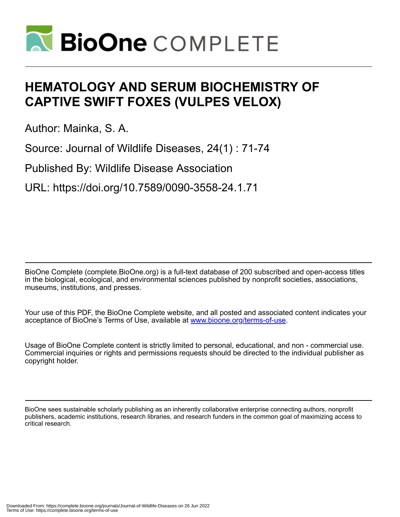

# **HEMATOLOGY AND SERUM BIOCHEMISTRY OF CAPTIVE SWIFT FOXES (VULPES VELOX)**

Author: Mainka, S. A.

Source: Journal of Wildlife Diseases, 24(1) : 71-74

Published By: Wildlife Disease Association

URL: https://doi.org/10.7589/0090-3558-24.1.71

BioOne Complete (complete.BioOne.org) is a full-text database of 200 subscribed and open-access titles in the biological, ecological, and environmental sciences published by nonprofit societies, associations, museums, institutions, and presses.

Your use of this PDF, the BioOne Complete website, and all posted and associated content indicates your acceptance of BioOne's Terms of Use, available at www.bioone.org/terms-of-use.

Usage of BioOne Complete content is strictly limited to personal, educational, and non - commercial use. Commercial inquiries or rights and permissions requests should be directed to the individual publisher as copyright holder.

BioOne sees sustainable scholarly publishing as an inherently collaborative enterprise connecting authors, nonprofit publishers, academic institutions, research libraries, and research funders in the common goal of maximizing access to critical research.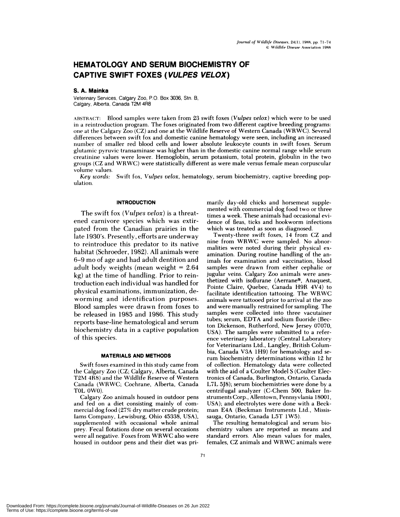# **HEMATOLOGY AND SERUM BIOCHEMISTRY OF CAPTIVE SWIFT FOXES (VULPES VELOX)**

# S. A. Mainka

Veterinary Services, Calgary Zoo, P.O. Box 3036, SIn. B, Calgary, Alberta, Canada T2M 4R8

ABSTRACT: Blood samples were taken from 23 swift foxes *(Vulpes velox)* which were to be used in a reintroduction program. The foxes originated from two different captive breeding programs: one at the Calgary Zoo (CZ) and one at the Wildlife Reserve of Western Canada (WRWC). Several differences between swift fox and domestic canine hematology were seen, including an increased number of smaller red blood cells and lower absolute leukocyte counts in swift foxes. Serum glutamic pyruvic transaminase was higher than in the domestic canine normal range while serum creatinine values were lower. Hemoglobin, serum potassium, total protein, globulin in the two groups (CZ and WRWC) were statistically different as were male versus female mean corpuscular volume values.

*Key words:* Swift fox, *Vulpes velox,* hematology, serum biochemistry, captive breeding pop **ulation.**

#### **INTRODUCTION**

The swift fox *(Vulpes velox)* is a threatened carnivore species which was extirpated from the Canadian prairies in the late 1930's. Presently, efforts are underway to reintroduce this predator to its native habitat (Schroeder, 1982). All animals were 6-9 mo of age and had adult dentition and adult body weights (mean weight <sup>=</sup> 2.64 kg) at the time of handling. Prior to reintroduction each individual was handled for physical examinations, immunization, deworming and identification purposes. Blood samples were drawn from foxes to be released in 1985 and 1986. This study reports base-line hematological and serum biochemistry data in a captive population of this species.

## **MATERIALS AND METHODS**

Swift foxes examined in this study came from the Calgary Zoo (CZ; Calgary, Alberta, Canada T2M 4R8) and the Wildlife Reserve of Western Canada (WRWC; Cochrane, Alberta, Canada TOL OWO).

Calgary Zoo animals housed in outdoor pens and fed on a diet consisting mainly of com **mercial** dog food (27% dry matter crude protein; Iams Company, Lewisburg, Ohio 45338, USA), supplemented with occasional whole animal prey. Fecal flotations done on several occasions were all negative. Foxes from WRWC also were housed in outdoor pens and their diet was primarily day-old chicks and horsemeat supplemented with commercial dog food two or three times a week. These animals had occasional evidence of fleas, ticks and hookworm infections which was treated as soon as diagnosed.

Twenty-three swift foxes, 14 from CZ and **nine** from WRWC were sampled. No abnormalities were noted during their physical ex amination. During routine handling of the an**imals** for examination and vaccination, blood samples were drawn from either cephalic or jugular veins. Calgary Zoo animals were anesthetized with isoflurane (Aerrane<sup>®</sup>, Anaquest, Pointe Claire, Quebec, Canada H9R 4V4) to facilitate identification tattooing. The WRWC **animals were tattooed** prior to arrival at the zoo and were manually restrained for sampling. The samples were collected into three vacutainer tubes; serum, EDTA and sodium fluoride (Becton Dickenson, Rutherford, New Jersey 07070, USA). The samples were submitted to a refer ence veterinary laboratory (Central Laboratory for Veterinarians Ltd., Langley, British Columbia, Canada V3A 1H9) for hematology and serum biochemistry determinations within 12 hr of collection. Hematology data were collected with the aid of a Coulter Model S (Coulter Elec**tronics of** Canada, Burlington, Ontario, Canada L7L 5J8); serum biochemistries were done by a centrifugal analyzer (C-Chem 500, Baker In struments Corp., Allentown, Pennsyvlania 18001, USA); and electrolytes were done with a Beck man E4A (Beckman Instruments Ltd., Mississauga, Ontario, Canada L5T 1W5).

The resulting hematological and serum biochemistry values are reported as means and standard errors. Also mean values for males, females, CZ animals and WRWC animals were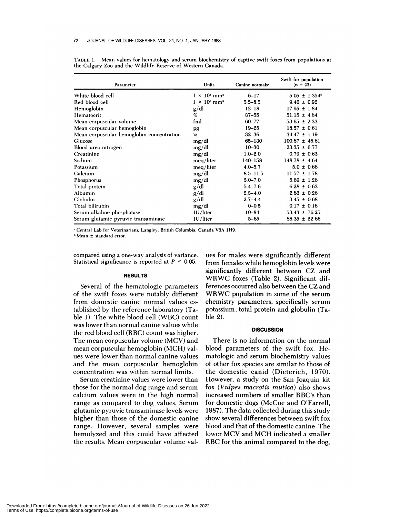| Parameter                                 | Units                           | Canine normals <sup>*</sup> | Swift fox population<br>$(n = 23)$ |
|-------------------------------------------|---------------------------------|-----------------------------|------------------------------------|
| White blood cell                          | $1 \times 10^3$ mm <sup>3</sup> | $6 - 17$                    | $5.05 \pm 1.354$ <sup>b</sup>      |
| Red blood cell                            | $1 \times 10^6$ mm <sup>3</sup> | $5.5 - 8.5$                 | $9.46 \pm 0.92$                    |
| Hemoglobin                                | g/dl                            | $12 - 18$                   | $17.95 \pm 1.84$                   |
| Hematocrit                                | %                               | $37 - 55$                   | $51.15 \pm 4.84$                   |
| Mean corpuscular volume                   | fml                             | 60-77                       | $53.65 \pm 2.33$                   |
| Mean corpuscular hemoglobin               | pg                              | $19 - 25$                   | $18.57 \pm 0.61$                   |
| Mean corpuscular hemoglobin concentration | %                               | $32 - 36$                   | $34.47 \pm 1.19$                   |
| Glucose                                   | mg/dl                           | 65-130                      | $100.87 \pm 48.61$                 |
| Blood urea nitrogen                       | mg/dl                           | $10 - 30$                   | $23.35 \pm 6.77$                   |
| Creatinine                                | mg/dl                           | $1.0 - 2.0$                 | $0.79 \pm 0.63$                    |
| Sodium                                    | meg/liter                       | $140 - 158$                 | $148.78 \pm 4.64$                  |
| Potassium                                 | meg/liter                       | $4.0 - 5.7$                 | $5.0 \pm 0.66$                     |
| Calcium                                   | mg/dl                           | $8.5 - 11.5$                | $11.57 \pm 1.78$                   |
| Phosphorus                                | mg/dl                           | $3.0 - 7.0$                 | $5.69 \pm 1.26$                    |
| Total protein                             | g/dl                            | $5.4 - 7.6$                 | $6.28 \pm 0.63$                    |
| Albumin                                   | g/dl                            | $2.3 - 4.0$                 | $2.83 \pm 0.26$                    |
| Globulin                                  | g/dl                            | $2.7 - 4.4$                 | $3.45 \pm 0.68$                    |
| Total bilirubin                           | mg/dl                           | $0 - 0.5$                   | $0.17 \pm 0.16$                    |
| Serum alkaline phosphatase                | IU/liter                        | $10 - 84$                   | $53.43 \pm 76.25$                  |
| Serum glutamic pyruvic transaminase       | IU/liter                        | $5 - 65$                    | $88.35 \pm 22.66$                  |

TABLE 1. Mean values for hematology and serum biochemistry of captive swift foxes from populations at the Calgary Zoo and the Wildlife Reserve of Western Canada.

Central Lab for Veterinarians, Langley, British Columbia, Canada V3A 1H9.

Mean ± standard error.

compared using a one-way analysis of variance. Statistical significance is reported at  $P \leq 0.05$ .

#### **RESULTS**

Several of the hematologic parameters of the swift foxes were notably different from domestic canine normal values established by the reference laboratory (Table 1). The white blood cell (WBC) count was lower than normal canine values while the red blood cell (RBC) count was higher. The mean corpuscular volume (MCV) and mean corpuscular hemoglobin (MCH) val ues were lower than normal canine values and the mean corpuscular hemoglobin concentration was within normal limits.

Serum creatinine values were lower than those for the normal dog range and serum calcium values were in the high normal range as compared to dog values. Serum glutamic pyruvic transaminase levels were higher than those of the domestic canine range. However, several samples were hemolyzed and this could have affected the results. Mean corpuscular volume val-

ues for males were significantly different from females while hemoglobin levels were significantly different between CZ and WRWC foxes (Table 2). Significant differences occurred also between the CZ and WRWC population in some of the serum chemistry parameters, specifically serum potassium, total protein and globulin (Table 2).

#### **DISCUSSION**

There is no information on the normal blood parameters of the swift fox. Hematologic and serum biochemistry values of other fox species are similar to those of the domestic canid (Dieterich, 1970). However, a study on the San Joaquin kit fox *(Vulpes macrotis mutica)* also shows increased numbers of smaller RBC's than for domestic dogs (McCue and O'Farrell, 1987). The data collected during this study show several differences between swift fox blood and that of the domestic canine. The lower MCV and MCH indicated a smaller RBC for this animal compared to the dog,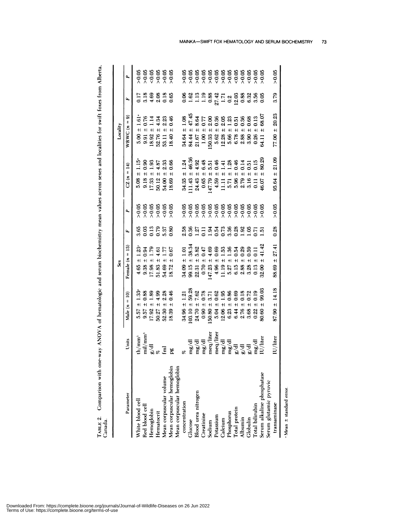TABLE 2. Comparison with one-way ANOVA of hematologic and serum biochemistry mean values across sexes and localities for swift foxes from Alberta, Canada.

|                                                                                     |                                             |                                                                                                                                                                                                                                                    | ŝ                                               |                                     |                                   |                                                                             | Locality                                                                                                                              |                                             |                                                                         |
|-------------------------------------------------------------------------------------|---------------------------------------------|----------------------------------------------------------------------------------------------------------------------------------------------------------------------------------------------------------------------------------------------------|-------------------------------------------------|-------------------------------------|-----------------------------------|-----------------------------------------------------------------------------|---------------------------------------------------------------------------------------------------------------------------------------|---------------------------------------------|-------------------------------------------------------------------------|
| Parameter                                                                           | Units                                       | Male $(n = 10)$                                                                                                                                                                                                                                    | Female $(n = 13)$                               | ĹL,                                 | Δ,                                | $CZ(n = 14)$                                                                | WRWC $(n = 9)$                                                                                                                        | ſa,                                         |                                                                         |
| White blood cell                                                                    | $\th/\text{mm}^3$                           | 1.33<br>$+1$<br>5.57                                                                                                                                                                                                                               | $1.23^{\circ}$                                  |                                     |                                   | 1.15<br>$5.08 \pm$                                                          |                                                                                                                                       |                                             |                                                                         |
| Red blood cell                                                                      | $\frac{m}{m}$                               | 0.88<br>$+1$<br>9.57                                                                                                                                                                                                                               | 0.94                                            |                                     |                                   |                                                                             |                                                                                                                                       |                                             |                                                                         |
| Hemoglobin                                                                          |                                             | 1.89<br>$+1$<br>17.92                                                                                                                                                                                                                              | 1.79                                            | 882858<br>88285<br>8900             |                                   |                                                                             |                                                                                                                                       | 1 1 2 3 3 2 3<br>0 3 4 4 5 6<br>0 5 4 4 6 6 |                                                                         |
| Hematocrit                                                                          |                                             | $+1$<br>50.27                                                                                                                                                                                                                                      | 4.61                                            |                                     |                                   |                                                                             |                                                                                                                                       |                                             |                                                                         |
| Mean corpuscular volume                                                             | Ē                                           | $\frac{38}{30}$<br>$\frac{38}{30}$<br>$52.30 \pm .$                                                                                                                                                                                                | 1.77<br>0.67                                    |                                     |                                   |                                                                             |                                                                                                                                       |                                             |                                                                         |
| Mean corpuscular hemoglobin                                                         | pg                                          | $+1$<br>18.39                                                                                                                                                                                                                                      |                                                 |                                     | 8<br>0.05<br>0.06<br>0.07<br>0.07 | 9.18 ± 0.90<br>17.33 ± 1.93<br>50.12 ± 4.87<br>54.00 ± 2.33<br>18.69 ± 0.66 | $5.00 \pm 1.61$<br>$9.91 \pm 0.76$<br>$9.92 \pm 1.14$<br>$18.92 \pm 1.14$<br>$52.76 \pm 4.34$<br>$53.11 \pm 2.23$<br>$53.11 \pm 2.23$ |                                             | 8<br>8<br>8<br>8<br>8<br>8<br>8<br>8<br>8<br>8<br>8<br>8<br>8<br>8<br>8 |
| Mean corpuscular hemoglobin                                                         |                                             |                                                                                                                                                                                                                                                    |                                                 |                                     |                                   |                                                                             |                                                                                                                                       |                                             |                                                                         |
| concentration                                                                       |                                             | 1.21<br>$\pm$<br>34.96                                                                                                                                                                                                                             | 1.01<br>$+1$<br>34.09                           |                                     |                                   | 1.24<br>$+$<br>34.35                                                        | 1.08<br>$+1$<br>34.64                                                                                                                 |                                             |                                                                         |
| Glucose                                                                             |                                             | $103.10 \pm$                                                                                                                                                                                                                                       | 38.34<br>$+1$<br>99.15                          |                                     |                                   | 46.36<br>$11.43 \pm$                                                        | 47.45<br>$+1$<br>84.44                                                                                                                |                                             |                                                                         |
| Blood urea nitrogen                                                                 | mg/dl                                       | $+1$<br>24.70                                                                                                                                                                                                                                      | 5.82<br>$+1$<br>22.31                           |                                     |                                   | 4.92<br>$+1$<br>24.43                                                       | 8.64<br>$+1$<br>21.67                                                                                                                 |                                             |                                                                         |
| Creatinine                                                                          | mg/dl                                       | $\pm$<br>0.90                                                                                                                                                                                                                                      | 0.47<br>$\pm$<br>0.70                           |                                     |                                   | $\pm$<br>0.65                                                               | $+$<br>$\frac{8}{1}$                                                                                                                  |                                             |                                                                         |
| Sodium<br>Potassium                                                                 | meq/liter                                   | $+1$<br>50.80                                                                                                                                                                                                                                      | $\ddot{}$<br>147.23                             |                                     |                                   | $+1$<br>147.79                                                              | $+1$<br>50.33                                                                                                                         |                                             |                                                                         |
|                                                                                     | meq/liter                                   | $+1$<br>5.04                                                                                                                                                                                                                                       | $\ddot{+}$                                      |                                     |                                   | $+1$<br>4.59                                                                | $+1$<br>5.62                                                                                                                          |                                             |                                                                         |
| Calcium                                                                             |                                             | $\pm$<br>12.06                                                                                                                                                                                                                                     | $+1$<br>$4.96$ :<br>11.19                       |                                     |                                   | $+1$<br>11.11                                                               | $+1$<br>12.28                                                                                                                         |                                             |                                                                         |
| Phosphorus<br>Total protein<br>Albumin                                              | त्तु त<br>सर्वे न न<br>सर्वे ज              | 59.28<br>59.21 70.21 70.21 70.21<br>59.21 70.21 70.21 70.21 70.21 70.21 70.21 70.21 70.21 70.21 70.21 70.21 70.21 70.21 70<br>0.21 70.21 70.21 70.21 70.21 70.21 70.21 70.21 70.21 70.21 70.21 70.21 70.21 70.21 70.21 70.21 70.21 70.2<br>$\pm$ l | $4000$<br>$4000$<br>$-1000$<br>$-1000$<br>$\pm$ | 5865113566888651<br>000000000000000 |                                   | $6.546$ $6.546$ $6.546$ $6.546$ $6.546$ $6.546$ $6.546$<br>$+1$             | $7889358$<br>$0.893358$<br>$0.00000$<br>$+1$<br>86<br>563<br>643<br>643                                                               |                                             | 8<br>88888888888888<br>888888888888                                     |
|                                                                                     |                                             | $\pm$<br>6.23<br>6.44<br>2.76                                                                                                                                                                                                                      | $\pm$<br>527<br>5.1588<br>5.388                 |                                     |                                   | $+1$                                                                        | $+1$                                                                                                                                  |                                             |                                                                         |
|                                                                                     |                                             | $+1$                                                                                                                                                                                                                                               | $\pm$                                           |                                     |                                   | $+1$                                                                        | $\ddot{+}$                                                                                                                            |                                             |                                                                         |
|                                                                                     |                                             | H<br>3.68                                                                                                                                                                                                                                          | 0.59<br>$\ddot{}$                               |                                     |                                   | $+1$                                                                        | 0.68<br>$+1$                                                                                                                          |                                             |                                                                         |
|                                                                                     | $\mathrm{m}\mathrm{g}/\mathrm{d}\mathrm{l}$ | 0.19                                                                                                                                                                                                                                               | $+1$<br>0.13                                    |                                     |                                   | $+$                                                                         | 0.13<br>$+1$<br>0.26                                                                                                                  |                                             |                                                                         |
| Globulin<br>Total bilirubin<br>Serum alkaline phosphatase<br>Serum glutamic pyruvic | U/liter                                     | 99.03<br>$\pm$<br>80.60                                                                                                                                                                                                                            | 41.42<br>$+1$<br>32.00                          | ā                                   |                                   | 80.29<br>$+1$<br>46.07                                                      | 68.07<br>54.11                                                                                                                        |                                             |                                                                         |
|                                                                                     |                                             |                                                                                                                                                                                                                                                    |                                                 |                                     |                                   |                                                                             |                                                                                                                                       |                                             |                                                                         |
| transaminase                                                                        | $I\cup$ /liter                              | 14.18<br>$+1$<br>87.90                                                                                                                                                                                                                             | 27.41<br>$+1$<br>88.69                          | 0.28                                | > 0.05                            | 21.09<br>$+1$<br>95.64                                                      | 20.23<br>$+$<br>77.00                                                                                                                 | 3.79                                        | > 0.05                                                                  |
| · Mean $\pm$ standard error.                                                        |                                             |                                                                                                                                                                                                                                                    |                                                 |                                     |                                   |                                                                             |                                                                                                                                       |                                             |                                                                         |